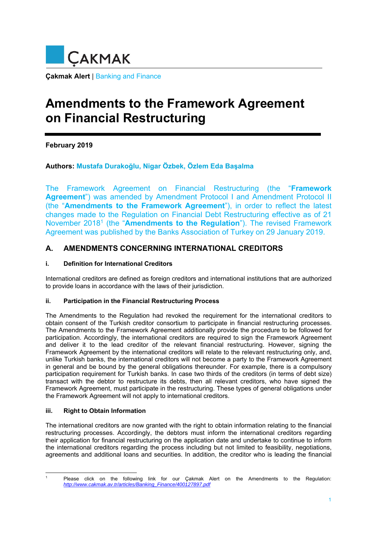

**Çakmak Alert** | Banking and Finance

# **Amendments to the Framework Agreement on Financial Restructuring**

**February 2019** 

## **Authors: Mustafa Durakoğlu, Nigar Özbek, Özlem Eda Başalma**

The Framework Agreement on Financial Restructuring (the "**Framework Agreement**") was amended by Amendment Protocol I and Amendment Protocol II (the "**Amendments to the Framework Agreement**"), in order to reflect the latest changes made to the Regulation on Financial Debt Restructuring effective as of 21 November 20181 (the "**Amendments to the Regulation**"). The revised Framework Agreement was published by the Banks Association of Turkey on 29 January 2019.

## **A. AMENDMENTS CONCERNING INTERNATIONAL CREDITORS**

#### **i. Definition for International Creditors**

International creditors are defined as foreign creditors and international institutions that are authorized to provide loans in accordance with the laws of their jurisdiction.

#### **ii. Participation in the Financial Restructuring Process**

The Amendments to the Regulation had revoked the requirement for the international creditors to obtain consent of the Turkish creditor consortium to participate in financial restructuring processes. The Amendments to the Framework Agreement additionally provide the procedure to be followed for participation. Accordingly, the international creditors are required to sign the Framework Agreement and deliver it to the lead creditor of the relevant financial restructuring. However, signing the Framework Agreement by the international creditors will relate to the relevant restructuring only, and, unlike Turkish banks, the international creditors will not become a party to the Framework Agreement in general and be bound by the general obligations thereunder. For example, there is a compulsory participation requirement for Turkish banks. In case two thirds of the creditors (in terms of debt size) transact with the debtor to restructure its debts, then all relevant creditors, who have signed the Framework Agreement, must participate in the restructuring. These types of general obligations under the Framework Agreement will not apply to international creditors.

#### **iii. Right to Obtain Information**

 $\overline{a}$ 1

The international creditors are now granted with the right to obtain information relating to the financial restructuring processes. Accordingly, the debtors must inform the international creditors regarding their application for financial restructuring on the application date and undertake to continue to inform the international creditors regarding the process including but not limited to feasibility, negotiations, agreements and additional loans and securities. In addition, the creditor who is leading the financial

Please click on the following link for our Çakmak Alert on the Amendments to the Regulation: *http://www.cakmak.av.tr/articles/Banking\_Finance/400127897.pdf*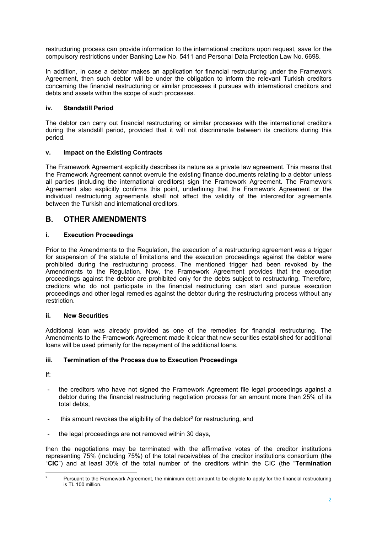restructuring process can provide information to the international creditors upon request, save for the compulsory restrictions under Banking Law No. 5411 and Personal Data Protection Law No. 6698.

In addition, in case a debtor makes an application for financial restructuring under the Framework Agreement, then such debtor will be under the obligation to inform the relevant Turkish creditors concerning the financial restructuring or similar processes it pursues with international creditors and debts and assets within the scope of such processes.

#### **iv. Standstill Period**

The debtor can carry out financial restructuring or similar processes with the international creditors during the standstill period, provided that it will not discriminate between its creditors during this period.

#### **v. Impact on the Existing Contracts**

The Framework Agreement explicitly describes its nature as a private law agreement. This means that the Framework Agreement cannot overrule the existing finance documents relating to a debtor unless all parties (including the international creditors) sign the Framework Agreement. The Framework Agreement also explicitly confirms this point, underlining that the Framework Agreement or the individual restructuring agreements shall not affect the validity of the intercreditor agreements between the Turkish and international creditors.

## **B. OTHER AMENDMENTS**

### **i. Execution Proceedings**

Prior to the Amendments to the Regulation, the execution of a restructuring agreement was a trigger for suspension of the statute of limitations and the execution proceedings against the debtor were prohibited during the restructuring process. The mentioned trigger had been revoked by the Amendments to the Regulation. Now, the Framework Agreement provides that the execution proceedings against the debtor are prohibited only for the debts subject to restructuring. Therefore, creditors who do not participate in the financial restructuring can start and pursue execution proceedings and other legal remedies against the debtor during the restructuring process without any restriction.

### **ii. New Securities**

Additional loan was already provided as one of the remedies for financial restructuring. The Amendments to the Framework Agreement made it clear that new securities established for additional loans will be used primarily for the repayment of the additional loans.

### **iii. Termination of the Process due to Execution Proceedings**

If:

- the creditors who have not signed the Framework Agreement file legal proceedings against a debtor during the financial restructuring negotiation process for an amount more than 25% of its total debts,
- this amount revokes the eligibility of the debtor<sup>2</sup> for restructuring, and
- the legal proceedings are not removed within 30 days,

then the negotiations may be terminated with the affirmative votes of the creditor institutions representing 75% (including 75%) of the total receivables of the creditor institutions consortium (the "**CIC**") and at least 30% of the total number of the creditors within the CIC (the "**Termination** 

 $\frac{1}{2}$  Pursuant to the Framework Agreement, the minimum debt amount to be eligible to apply for the financial restructuring is TL 100 million